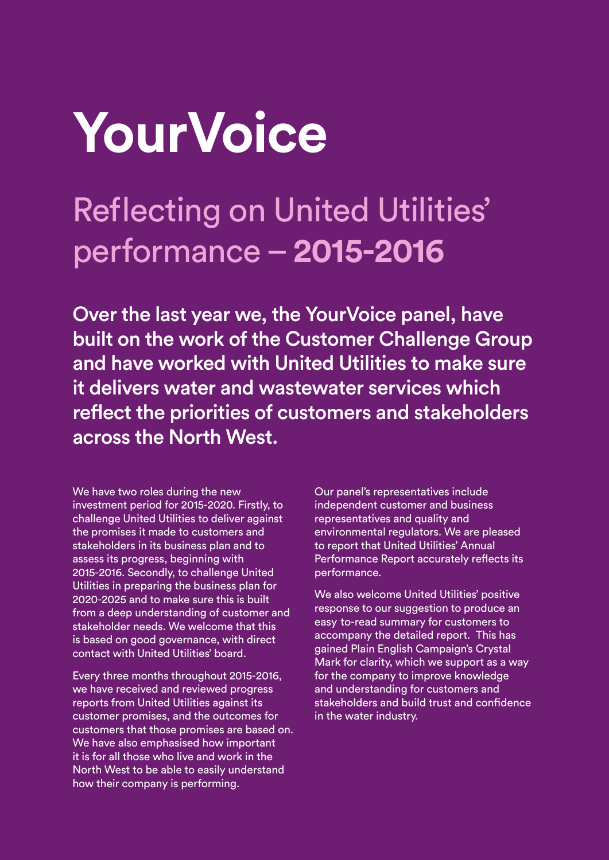## **YourVoice**

## Reflecting on United Utilities' performance – **2015-2016**

Over the last year we, the YourVoice panel, have built on the work of the Customer Challenge Group and have worked with United Utilities to make sure it delivers water and wastewater services which reflect the priorities of customers and stakeholders across the North West.

We have two roles during the new investment period for 2015-2020. Firstly, to challenge United Utilities to deliver against the promises it made to customers and stakeholders in its business plan and to assess its progress, beginning with 2015-2016. Secondly, to challenge United Utilities in preparing the business plan for 2020-2025 and to make sure this is built from a deep understanding of customer and stakeholder needs. We welcome that this is based on good governance, with direct contact with United Utilities' board.

Every three months throughout 2015-2016, we have received and reviewed progress reports from United Utilities against its customer promises, and the outcomes for customers that those promises are based on. We have also emphasised how important it is for all those who live and work in the North West to be able to easily understand how their company is performing.

Our panel's representatives include independent customer and business representatives and quality and environmental regulators. We are pleased to report that United Utilities' Annual Performance Report accurately reflects its performance.

easy to-read summary for customers to We also welcome United Utilities' positive response to our suggestion to produce an accompany the detailed report. This has gained Plain English Campaign's Crystal Mark for clarity, which we support as a way for the company to improve knowledge and understanding for customers and stakeholders and build trust and confidence in the water industry.